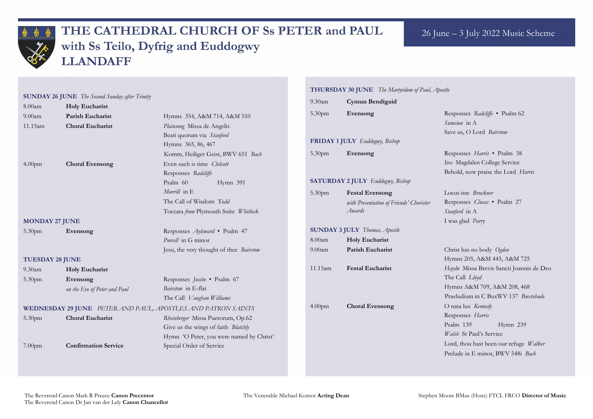

## THE CATHEDRAL CHURCH OF Ss PETER and PAUL with Ss Teilo, Dyfrig and Euddogwy **LLANDAFF**

5.30pm **Evensong** Responses *Radcliffe* • Psalm 62 *Sumsion* in A ave us, O Lord *Bairstow* 

|                                                                     |                              |                                          |                    | THURSDAY 30 JUNE The Martyrdom of Paul, Apostle |                 |  |  |
|---------------------------------------------------------------------|------------------------------|------------------------------------------|--------------------|-------------------------------------------------|-----------------|--|--|
| <b>SUNDAY 26 JUNE</b> The Second Sunday after Trinity               |                              |                                          | $9.30$ am          | Cymun Bendigaid                                 |                 |  |  |
| 8.00am                                                              | <b>Holy Eucharist</b>        |                                          |                    |                                                 |                 |  |  |
| $9.00$ am                                                           | Parish Eucharist             | Hymns 354, A&M 714, A&M 510              | 5.30pm             | Evensong                                        | R               |  |  |
| 11.15am                                                             | <b>Choral Eucharist</b>      | Plainsong Missa de Angelis               |                    |                                                 | $\mathcal{S}$   |  |  |
|                                                                     |                              | Beati quorum via Stanford                |                    |                                                 | Sa              |  |  |
|                                                                     |                              | Hymns 365, 86, 467                       |                    | <b>FRIDAY 1 JULY</b> Euddogwy, Bishop           |                 |  |  |
|                                                                     |                              | Komm, Heiliger Geist, BWV 651 Bach       | 5.30 <sub>pm</sub> | Evensong                                        | R               |  |  |
| 4.00 <sub>pm</sub>                                                  | <b>Choral Evensong</b>       | Even such is time Chilcott               |                    |                                                 | Iv              |  |  |
|                                                                     |                              | Responses Radcliffe                      |                    |                                                 | B <sub>0</sub>  |  |  |
|                                                                     |                              | Psalm 60<br>Hymn 391                     |                    | <b>SATURDAY 2 JULY</b> Euddogwy, Bishop         |                 |  |  |
|                                                                     |                              | Murrill in E                             | 5.30 <sub>pm</sub> | <b>Festal Evensong</b>                          | $\Gamma$        |  |  |
|                                                                     |                              | The Call of Wisdom Todd                  |                    | with Presentation of Friends' Chorister         | R               |  |  |
|                                                                     |                              | Toccata from Plymouth Suite Whitlock     |                    | Awards                                          | $\mathcal{S}$ t |  |  |
| <b>MONDAY 27 JUNE</b>                                               |                              |                                          |                    |                                                 | $I$ ,           |  |  |
| 5.30 <sub>pm</sub>                                                  | Evensong                     | Responses Ayleward • Psalm 47            |                    | <b>SUNDAY 3 JULY</b> Thomas, Apostle            |                 |  |  |
|                                                                     |                              | Purcell in G minor                       | 8.00am             | <b>Holy Eucharist</b>                           |                 |  |  |
|                                                                     |                              | Jesu, the very thought of thee Bairstow  | $9.00$ am          | Parish Eucharist                                | $\mathcal{C}$   |  |  |
| <b>TUESDAY 28 JUNE</b>                                              |                              |                                          |                    |                                                 | H               |  |  |
| $9.30$ am                                                           | <b>Holy Eucharist</b>        |                                          | 11.15am            | <b>Festal Eucharist</b>                         | H               |  |  |
| 5.30 <sub>pm</sub>                                                  | Evensong                     | Responses <i>Justin</i> • Psalm 67       |                    |                                                 | T               |  |  |
|                                                                     | on the Eve of Peter and Paul | Bairstow in E-flat                       |                    |                                                 | H               |  |  |
|                                                                     |                              | The Call Vaughan Williams                |                    |                                                 | $P_1$           |  |  |
| <b>WEDNESDAY 29 JUNE</b> PETER AND PAUL, APOSTLES AND PATRON SAINTS |                              |                                          |                    | <b>Choral Evensong</b>                          | $\overline{O}$  |  |  |
| 5.30 <sub>pm</sub>                                                  | <b>Choral Eucharist</b>      | Rheinberger Missa Puerorum, Op.62        |                    |                                                 | R               |  |  |
|                                                                     |                              | Give us the wings of faith Blatchly      |                    |                                                 | P               |  |  |
|                                                                     |                              | Hymn 'O Peter, you were named by Christ' |                    |                                                 | W               |  |  |
| 7.00 <sub>pm</sub>                                                  | <b>Confirmation Service</b>  | Special Order of Service                 |                    |                                                 |                 |  |  |
|                                                                     |                              |                                          |                    |                                                 | $P_1$           |  |  |
|                                                                     |                              |                                          |                    |                                                 |                 |  |  |

5.30pm **Evensong** Responses *Harris* • Psalm 38 *Ives* Magdalen College Service Behold, now praise the Lord *Harris*

Locus iste *Bruckner* Responses *Clucas* • Psalm 27 *stanford* in A I was glad *Parry*

9.00am **Parish Eucharist** Christ has no body *Ogden*  Hymns 205, A&M 445, A&M 725 11.15am **Festal Eucharist** *Haydn* Missa Brevis Sancti Joannis de Deo The Call *Lloyd* Hymns A&M 709, A&M 208, 468 Praeludium in C BuxWV 137 *Buxtehude* 4.00pm **Choral Evensong** O nata lux *Kennedy* esponses *Harris* salm 139 Hymn 239 *Walsh* St Paul's Service Lord, thou hast been our refuge *Walker* Prelude in E minor, BWV 548i *Bach*

### 26 June – 3 July 2022 Music Scheme